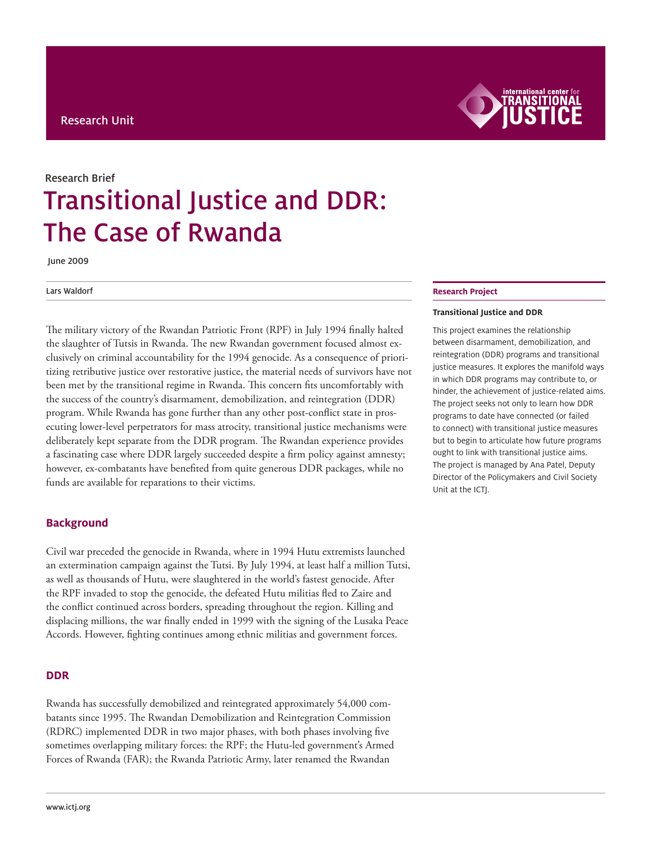

# Transitional Justice and DDR: The Case of Rwanda Research Brief

June 2009

#### Lars Waldorf

The military victory of the Rwandan Patriotic Front (RPF) in July 1994 finally halted the slaughter of Tutsis in Rwanda. The new Rwandan government focused almost exclusively on criminal accountability for the 1994 genocide. As a consequence of prioritizing retributive justice over restorative justice, the material needs of survivors have not been met by the transitional regime in Rwanda. This concern fits uncomfortably with the success of the country's disarmament, demobilization, and reintegration (DDR) program. While Rwanda has gone further than any other post-conflict state in prosecuting lower-level perpetrators for mass atrocity, transitional justice mechanisms were deliberately kept separate from the DDR program. The Rwandan experience provides a fascinating case where DDR largely succeeded despite a firm policy against amnesty; however, ex-combatants have benefited from quite generous DDR packages, while no funds are available for reparations to their victims.

## **Background**

Civil war preceded the genocide in Rwanda, where in 1994 Hutu extremists launched an extermination campaign against the Tutsi. By July 1994, at least half a million Tutsi, as well as thousands of Hutu, were slaughtered in the world's fastest genocide. After the RPF invaded to stop the genocide, the defeated Hutu militias fled to Zaire and the conflict continued across borders, spreading throughout the region. Killing and displacing millions, the war finally ended in 1999 with the signing of the Lusaka Peace Accords. However, fighting continues among ethnic militias and government forces.

## **DDR**

Rwanda has successfully demobilized and reintegrated approximately 54,000 combatants since 1995. The Rwandan Demobilization and Reintegration Commission (RDRC) implemented DDR in two major phases, with both phases involving five sometimes overlapping military forces: the RPF; the Hutu-led government's Armed Forces of Rwanda (FAR); the Rwanda Patriotic Army, later renamed the Rwandan

#### **Research Project**

#### **Transitional Justice and DDR**

This project examines the relationship between disarmament, demobilization, and reintegration (DDR) programs and transitional justice measures. It explores the manifold ways in which DDR programs may contribute to, or hinder, the achievement of justice-related aims. The project seeks not only to learn how DDR programs to date have connected (or failed to connect) with transitional justice measures but to begin to articulate how future programs ought to link with transitional justice aims. The project is managed by Ana Patel, Deputy Director of the Policymakers and Civil Society Unit at the ICTJ.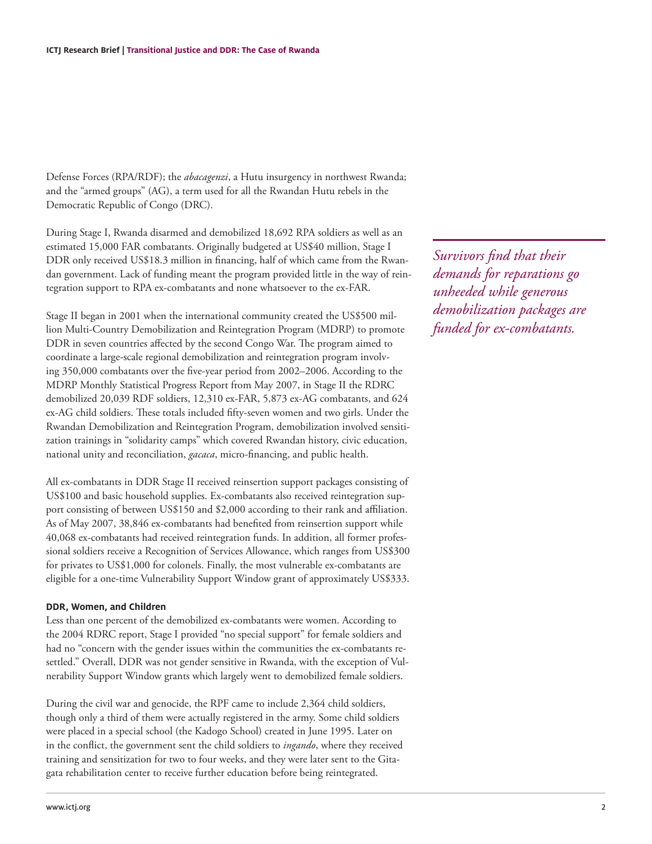Defense Forces (RPA/RDF); the *abacagenzi*, a Hutu insurgency in northwest Rwanda; and the "armed groups" (AG), a term used for all the Rwandan Hutu rebels in the Democratic Republic of Congo (DRC).

During Stage I, Rwanda disarmed and demobilized 18,692 RPA soldiers as well as an estimated 15,000 FAR combatants. Originally budgeted at US\$40 million, Stage I DDR only received US\$18.3 million in financing, half of which came from the Rwandan government. Lack of funding meant the program provided little in the way of reintegration support to RPA ex-combatants and none whatsoever to the ex-FAR.

Stage II began in 2001 when the international community created the US\$500 million Multi-Country Demobilization and Reintegration Program (MDRP) to promote DDR in seven countries affected by the second Congo War. The program aimed to coordinate a large-scale regional demobilization and reintegration program involving 350,000 combatants over the five-year period from 2002–2006. According to the MDRP Monthly Statistical Progress Report from May 2007, in Stage II the RDRC demobilized 20,039 RDF soldiers, 12,310 ex-FAR, 5,873 ex-AG combatants, and 624 ex-AG child soldiers. These totals included fifty-seven women and two girls. Under the Rwandan Demobilization and Reintegration Program, demobilization involved sensitization trainings in "solidarity camps" which covered Rwandan history, civic education, national unity and reconciliation, *gacaca*, micro-financing, and public health.

All ex-combatants in DDR Stage II received reinsertion support packages consisting of US\$100 and basic household supplies. Ex-combatants also received reintegration support consisting of between US\$150 and \$2,000 according to their rank and affiliation. As of May 2007, 38,846 ex-combatants had benefited from reinsertion support while 40,068 ex-combatants had received reintegration funds. In addition, all former professional soldiers receive a Recognition of Services Allowance, which ranges from US\$300 for privates to US\$1,000 for colonels. Finally, the most vulnerable ex-combatants are eligible for a one-time Vulnerability Support Window grant of approximately US\$333.

# **DDR, Women, and Children**

Less than one percent of the demobilized ex-combatants were women. According to the 2004 RDRC report, Stage I provided "no special support" for female soldiers and had no "concern with the gender issues within the communities the ex-combatants resettled." Overall, DDR was not gender sensitive in Rwanda, with the exception of Vulnerability Support Window grants which largely went to demobilized female soldiers.

During the civil war and genocide, the RPF came to include 2,364 child soldiers, though only a third of them were actually registered in the army. Some child soldiers were placed in a special school (the Kadogo School) created in June 1995. Later on in the conflict, the government sent the child soldiers to *ingando*, where they received training and sensitization for two to four weeks, and they were later sent to the Gitagata rehabilitation center to receive further education before being reintegrated.

*Survivors find that their demands for reparations go unheeded while generous demobilization packages are funded for ex-combatants.*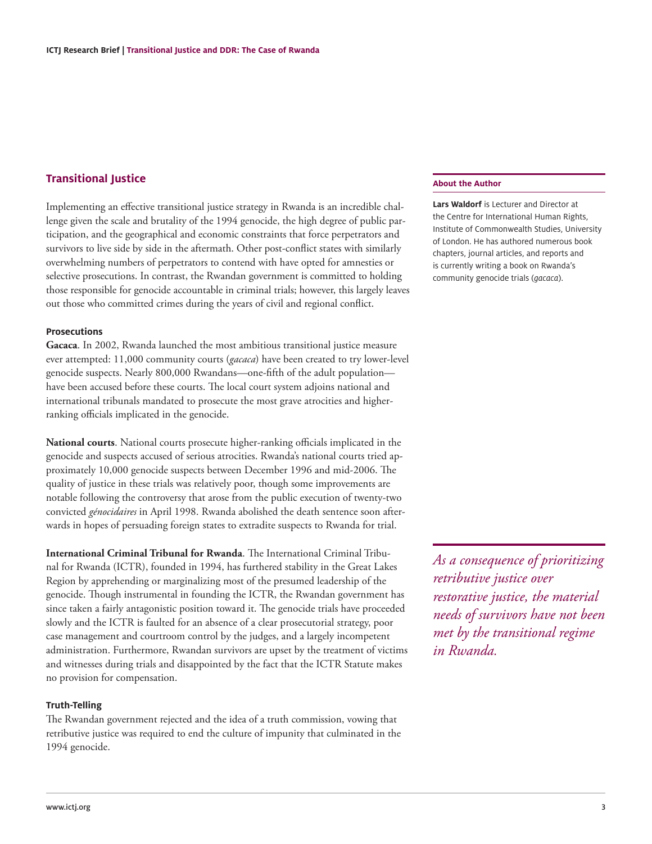## **Transitional Justice**

Implementing an effective transitional justice strategy in Rwanda is an incredible challenge given the scale and brutality of the 1994 genocide, the high degree of public participation, and the geographical and economic constraints that force perpetrators and survivors to live side by side in the aftermath. Other post-conflict states with similarly overwhelming numbers of perpetrators to contend with have opted for amnesties or selective prosecutions. In contrast, the Rwandan government is committed to holding those responsible for genocide accountable in criminal trials; however, this largely leaves out those who committed crimes during the years of civil and regional conflict.

#### **Prosecutions**

**Gacaca**. In 2002, Rwanda launched the most ambitious transitional justice measure ever attempted: 11,000 community courts (*gacaca*) have been created to try lower-level genocide suspects. Nearly 800,000 Rwandans—one-fifth of the adult population have been accused before these courts. The local court system adjoins national and international tribunals mandated to prosecute the most grave atrocities and higherranking officials implicated in the genocide.

**National courts**. National courts prosecute higher-ranking officials implicated in the genocide and suspects accused of serious atrocities. Rwanda's national courts tried approximately 10,000 genocide suspects between December 1996 and mid-2006. The quality of justice in these trials was relatively poor, though some improvements are notable following the controversy that arose from the public execution of twenty-two convicted *génocidaires* in April 1998. Rwanda abolished the death sentence soon afterwards in hopes of persuading foreign states to extradite suspects to Rwanda for trial.

**International Criminal Tribunal for Rwanda**. The International Criminal Tribunal for Rwanda (ICTR), founded in 1994, has furthered stability in the Great Lakes Region by apprehending or marginalizing most of the presumed leadership of the genocide. Though instrumental in founding the ICTR, the Rwandan government has since taken a fairly antagonistic position toward it. The genocide trials have proceeded slowly and the ICTR is faulted for an absence of a clear prosecutorial strategy, poor case management and courtroom control by the judges, and a largely incompetent administration. Furthermore, Rwandan survivors are upset by the treatment of victims and witnesses during trials and disappointed by the fact that the ICTR Statute makes no provision for compensation.

#### **Truth-Telling**

The Rwandan government rejected and the idea of a truth commission, vowing that retributive justice was required to end the culture of impunity that culminated in the 1994 genocide.

### **About the Author**

**Lars Waldorf** is Lecturer and Director at the Centre for International Human Rights, Institute of Commonwealth Studies, University of London. He has authored numerous book chapters, journal articles, and reports and is currently writing a book on Rwanda's community genocide trials (*gacaca*).

*As a consequence of prioritizing retributive justice over restorative justice, the material needs of survivors have not been met by the transitional regime in Rwanda.*